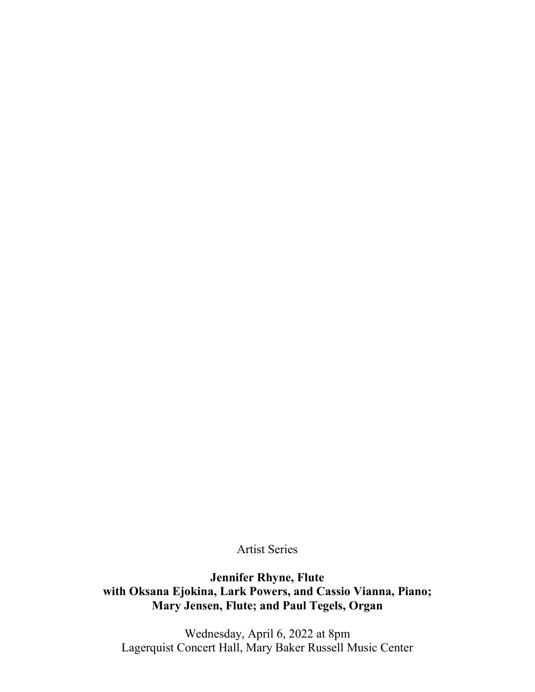Artist Series

**Jennifer Rhyne, Flute with Oksana Ejokina, Lark Powers, and Cassio Vianna, Piano; Mary Jensen, Flute; and Paul Tegels, Organ**

Wednesday, April 6, 2022 at 8pm Lagerquist Concert Hall, Mary Baker Russell Music Center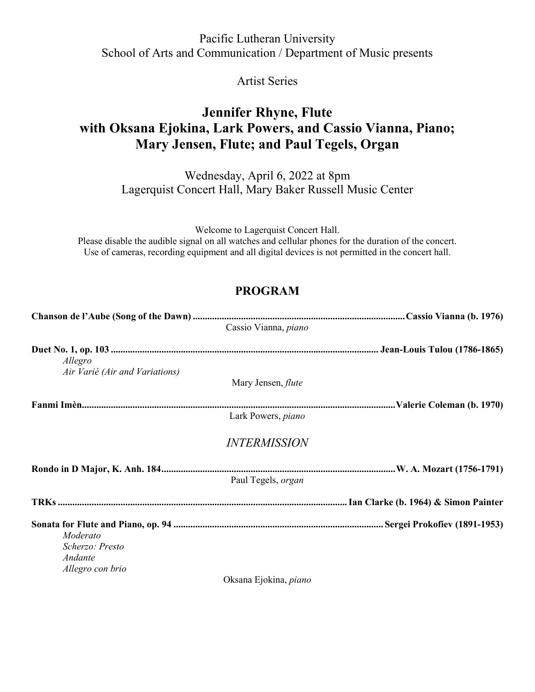### Pacific Lutheran University School of Arts and Communication / Department of Music presents

Artist Series

## **Jennifer Rhyne, Flute with Oksana Ejokina, Lark Powers, and Cassio Vianna, Piano; Mary Jensen, Flute; and Paul Tegels, Organ**

Wednesday, April 6, 2022 at 8pm Lagerquist Concert Hall, Mary Baker Russell Music Center

Welcome to Lagerquist Concert Hall. Please disable the audible signal on all watches and cellular phones for the duration of the concert. Use of cameras, recording equipment and all digital devices is not permitted in the concert hall.

# **PROGRAM**

|                                           | Cassio Vianna, piano       |  |
|-------------------------------------------|----------------------------|--|
| Allegro<br>Air Varié (Air and Variations) |                            |  |
|                                           | Mary Jensen, <i>flute</i>  |  |
|                                           |                            |  |
|                                           | Lark Powers, piano         |  |
|                                           | <i><b>INTERMISSION</b></i> |  |
|                                           |                            |  |
|                                           | Paul Tegels, <i>organ</i>  |  |
|                                           |                            |  |
|                                           |                            |  |
| Moderato                                  |                            |  |
| Scherzo: Presto<br>Andante                |                            |  |
| Allegro con brio                          |                            |  |
|                                           | $\bigcap$                  |  |

Oksana Ejokina, *piano*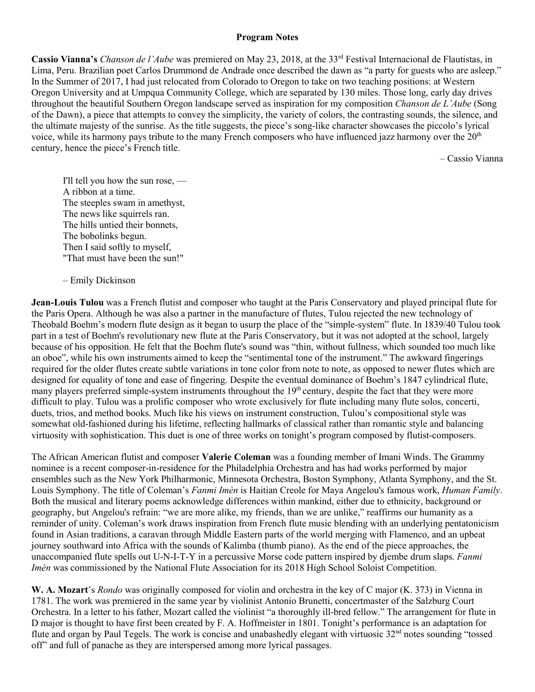#### **Program Notes**

**Cassio Vianna's** *Chanson de l'Aube* was premiered on May 23, 2018, at the 33<sup>rd</sup> Festival Internacional de Flautistas, in Lima, Peru. Brazilian poet Carlos Drummond de Andrade once described the dawn as "a party for guests who are asleep." In the Summer of 2017, I had just relocated from Colorado to Oregon to take on two teaching positions: at Western Oregon University and at Umpqua Community College, which are separated by 130 miles. Those long, early day drives throughout the beautiful Southern Oregon landscape served as inspiration for my composition *Chanson de L'Aube* (Song of the Dawn), a piece that attempts to convey the simplicity, the variety of colors, the contrasting sounds, the silence, and the ultimate majesty of the sunrise. As the title suggests, the piece's song-like character showcases the piccolo's lyrical voice, while its harmony pays tribute to the many French composers who have influenced jazz harmony over the  $20<sup>th</sup>$ century, hence the piece's French title.

– Cassio Vianna

I'll tell you how the sun rose, — A ribbon at a time. The steeples swam in amethyst, The news like squirrels ran. The hills untied their bonnets, The bobolinks begun. Then I said softly to myself, "That must have been the sun!"

– Emily Dickinson

**Jean-Louis Tulou** was a French flutist and composer who taught at the Paris Conservatory and played principal flute for the Paris Opera. Although he was also a partner in the manufacture of flutes, Tulou rejected the new technology of Theobald Boehm's modern flute design as it began to usurp the place of the "simple-system" flute. In 1839/40 Tulou took part in a test of Boehm's revolutionary new flute at the Paris Conservatory, but it was not adopted at the school, largely because of his opposition. He felt that the Boehm flute's sound was "thin, without fullness, which sounded too much like an oboe", while his own instruments aimed to keep the "sentimental tone of the instrument." The awkward fingerings required for the older flutes create subtle variations in tone color from note to note, as opposed to newer flutes which are designed for equality of tone and ease of fingering. Despite the eventual dominance of Boehm's 1847 cylindrical flute, many players preferred simple-system instruments throughout the 19<sup>th</sup> century, despite the fact that they were more difficult to play. Tulou was a prolific composer who wrote exclusively for flute including many flute solos, concerti, duets, trios, and method books. Much like his views on instrument construction, Tulou's compositional style was somewhat old-fashioned during his lifetime, reflecting hallmarks of classical rather than romantic style and balancing virtuosity with sophistication. This duet is one of three works on tonight's program composed by flutist-composers.

The African American flutist and composer **Valerie Coleman** was a founding member of Imani Winds. The Grammy nominee is a recent composer-in-residence for the Philadelphia Orchestra and has had works performed by major ensembles such as the New York Philharmonic, Minnesota Orchestra, Boston Symphony, Atlanta Symphony, and the St. Louis Symphony. The title of Coleman's *Fanmi Imèn* is Haitian Creole for Maya Angelou's famous work, *Human Family*. Both the musical and literary poems acknowledge differences within mankind, either due to ethnicity, background or geography, but Angelou's refrain: "we are more alike, my friends, than we are unlike," reaffirms our humanity as a reminder of unity. Coleman's work draws inspiration from French flute music blending with an underlying pentatonicism found in Asian traditions, a caravan through Middle Eastern parts of the world merging with Flamenco, and an upbeat journey southward into Africa with the sounds of Kalimba (thumb piano). As the end of the piece approaches, the unaccompanied flute spells out U-N-I-T-Y in a percussive Morse code pattern inspired by djembe drum slaps. *Fanmi Imèn* was commissioned by the National Flute Association for its 2018 High School Soloist Competition.

**W. A. Mozart**'s *Rondo* was originally composed for violin and orchestra in the key of C major (K. 373) in Vienna in 1781. The work was premiered in the same year by violinist Antonio Brunetti, concertmaster of the Salzburg Court Orchestra. In a letter to his father, Mozart called the violinist "a thoroughly ill-bred fellow." The arrangement for flute in D major is thought to have first been created by F. A. Hoffmeister in 1801. Tonight's performance is an adaptation for flute and organ by Paul Tegels. The work is concise and unabashedly elegant with virtuosic 32<sup>nd</sup> notes sounding "tossed off" and full of panache as they are interspersed among more lyrical passages.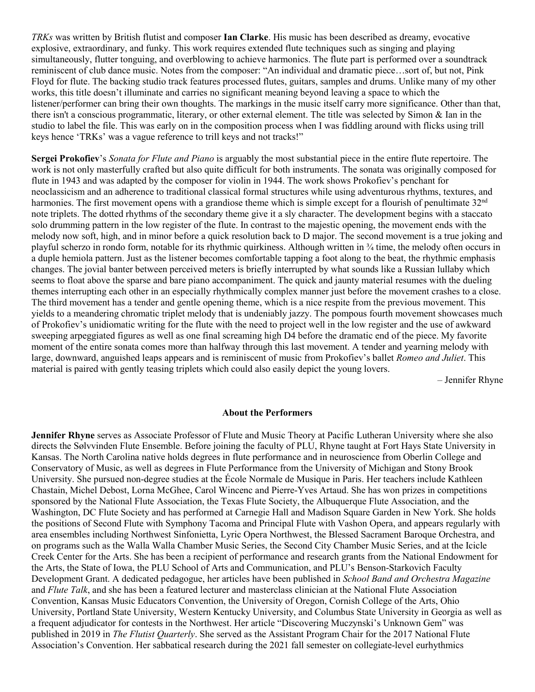*TRKs* was written by British flutist and composer **Ian Clarke**. His music has been described as dreamy, evocative explosive, extraordinary, and funky. This work requires extended flute techniques such as singing and playing simultaneously, flutter tonguing, and overblowing to achieve harmonics. The flute part is performed over a soundtrack reminiscent of club dance music. Notes from the composer: "An individual and dramatic piece…sort of, but not, Pink Floyd for flute. The backing studio track features processed flutes, guitars, samples and drums. Unlike many of my other works, this title doesn't illuminate and carries no significant meaning beyond leaving a space to which the listener/performer can bring their own thoughts. The markings in the music itself carry more significance. Other than that, there isn't a conscious programmatic, literary, or other external element. The title was selected by Simon & Ian in the studio to label the file. This was early on in the composition process when I was fiddling around with flicks using trill keys hence 'TRKs' was a vague reference to trill keys and not tracks!"

**Sergei Prokofiev**'s *Sonata for Flute and Piano* is arguably the most substantial piece in the entire flute repertoire. The work is not only masterfully crafted but also quite difficult for both instruments. The sonata was originally composed for flute in 1943 and was adapted by the composer for violin in 1944. The work shows Prokofiev's penchant for neoclassicism and an adherence to traditional classical formal structures while using adventurous rhythms, textures, and harmonies. The first movement opens with a grandiose theme which is simple except for a flourish of penultimate 32<sup>nd</sup> note triplets. The dotted rhythms of the secondary theme give it a sly character. The development begins with a staccato solo drumming pattern in the low register of the flute. In contrast to the majestic opening, the movement ends with the melody now soft, high, and in minor before a quick resolution back to D major. The second movement is a true joking and playful scherzo in rondo form, notable for its rhythmic quirkiness. Although written in ¾ time, the melody often occurs in a duple hemiola pattern. Just as the listener becomes comfortable tapping a foot along to the beat, the rhythmic emphasis changes. The jovial banter between perceived meters is briefly interrupted by what sounds like a Russian lullaby which seems to float above the sparse and bare piano accompaniment. The quick and jaunty material resumes with the dueling themes interrupting each other in an especially rhythmically complex manner just before the movement crashes to a close. The third movement has a tender and gentle opening theme, which is a nice respite from the previous movement. This yields to a meandering chromatic triplet melody that is undeniably jazzy. The pompous fourth movement showcases much of Prokofiev's unidiomatic writing for the flute with the need to project well in the low register and the use of awkward sweeping arpeggiated figures as well as one final screaming high D4 before the dramatic end of the piece. My favorite moment of the entire sonata comes more than halfway through this last movement. A tender and yearning melody with large, downward, anguished leaps appears and is reminiscent of music from Prokofiev's ballet *Romeo and Juliet*. This material is paired with gently teasing triplets which could also easily depict the young lovers.

– Jennifer Rhyne

#### **About the Performers**

**Jennifer Rhyne** serves as Associate Professor of Flute and Music Theory at Pacific Lutheran University where she also directs the Sølvvinden Flute Ensemble. Before joining the faculty of PLU, Rhyne taught at Fort Hays State University in Kansas. The North Carolina native holds degrees in flute performance and in neuroscience from Oberlin College and Conservatory of Music, as well as degrees in Flute Performance from the University of Michigan and Stony Brook University. She pursued non-degree studies at the École Normale de Musique in Paris. Her teachers include Kathleen Chastain, Michel Debost, Lorna McGhee, Carol Wincenc and Pierre-Yves Artaud. She has won prizes in competitions sponsored by the National Flute Association, the Texas Flute Society, the Albuquerque Flute Association, and the Washington, DC Flute Society and has performed at Carnegie Hall and Madison Square Garden in New York. She holds the positions of Second Flute with Symphony Tacoma and Principal Flute with Vashon Opera, and appears regularly with area ensembles including Northwest Sinfonietta, Lyric Opera Northwest, the Blessed Sacrament Baroque Orchestra, and on programs such as the Walla Walla Chamber Music Series, the Second City Chamber Music Series, and at the Icicle Creek Center for the Arts. She has been a recipient of performance and research grants from the National Endowment for the Arts, the State of Iowa, the PLU School of Arts and Communication, and PLU's Benson-Starkovich Faculty Development Grant. A dedicated pedagogue, her articles have been published in *School Band and Orchestra Magazine*  and *Flute Talk*, and she has been a featured lecturer and masterclass clinician at the National Flute Association Convention, Kansas Music Educators Convention, the University of Oregon, Cornish College of the Arts, Ohio University, Portland State University, Western Kentucky University, and Columbus State University in Georgia as well as a frequent adjudicator for contests in the Northwest. Her article "Discovering Muczynski's Unknown Gem" was published in 2019 in *The Flutist Quarterly*. She served as the Assistant Program Chair for the 2017 National Flute Association's Convention. Her sabbatical research during the 2021 fall semester on collegiate-level eurhythmics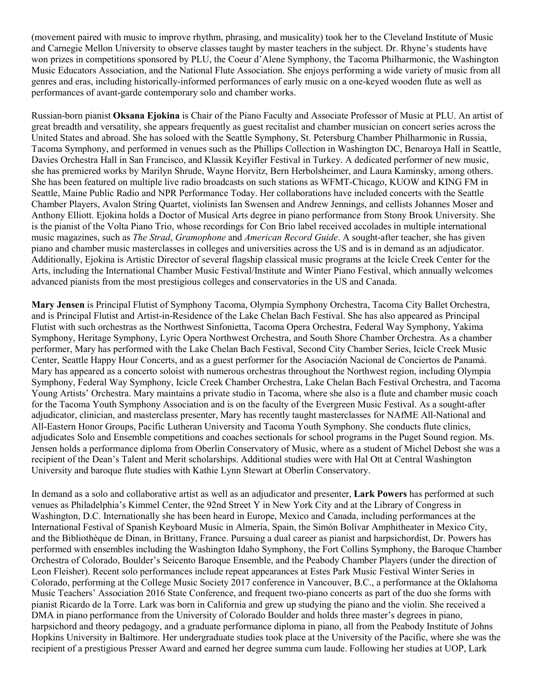(movement paired with music to improve rhythm, phrasing, and musicality) took her to the Cleveland Institute of Music and Carnegie Mellon University to observe classes taught by master teachers in the subject. Dr. Rhyne's students have won prizes in competitions sponsored by PLU, the Coeur d'Alene Symphony, the Tacoma Philharmonic, the Washington Music Educators Association, and the National Flute Association. She enjoys performing a wide variety of music from all genres and eras, including historically-informed performances of early music on a one-keyed wooden flute as well as performances of avant-garde contemporary solo and chamber works.

Russian-born pianist **Oksana Ejokina** is Chair of the Piano Faculty and Associate Professor of Music at PLU. An artist of great breadth and versatility, she appears frequently as guest recitalist and chamber musician on concert series across the United States and abroad. She has soloed with the Seattle Symphony, St. Petersburg Chamber Philharmonic in Russia, Tacoma Symphony, and performed in venues such as the Phillips Collection in Washington DC, Benaroya Hall in Seattle, Davies Orchestra Hall in San Francisco, and Klassik Keyifler Festival in Turkey. A dedicated performer of new music, she has premiered works by Marilyn Shrude, Wayne Horvitz, Bern Herbolsheimer, and Laura Kaminsky, among others. She has been featured on multiple live radio broadcasts on such stations as WFMT-Chicago, KUOW and KING FM in Seattle, Maine Public Radio and NPR Performance Today. Her collaborations have included concerts with the Seattle Chamber Players, Avalon String Quartet, violinists Ian Swensen and Andrew Jennings, and cellists Johannes Moser and Anthony Elliott. Ejokina holds a Doctor of Musical Arts degree in piano performance from Stony Brook University. She is the pianist of the Volta Piano Trio, whose recordings for Con Brio label received accolades in multiple international music magazines, such as *The Strad*, *Gramophone* and *American Record Guide*. A sought-after teacher, she has given piano and chamber music masterclasses in colleges and universities across the US and is in demand as an adjudicator. Additionally, Ejokina is Artistic Director of several flagship classical music programs at the Icicle Creek Center for the Arts, including the International Chamber Music Festival/Institute and Winter Piano Festival, which annually welcomes advanced pianists from the most prestigious colleges and conservatories in the US and Canada.

**Mary Jensen** is Principal Flutist of Symphony Tacoma, Olympia Symphony Orchestra, Tacoma City Ballet Orchestra, and is Principal Flutist and Artist-in-Residence of the Lake Chelan Bach Festival. She has also appeared as Principal Flutist with such orchestras as the Northwest Sinfonietta, Tacoma Opera Orchestra, Federal Way Symphony, Yakima Symphony, Heritage Symphony, Lyric Opera Northwest Orchestra, and South Shore Chamber Orchestra. As a chamber performer, Mary has performed with the Lake Chelan Bach Festival, Second City Chamber Series, Icicle Creek Music Center, Seattle Happy Hour Concerts, and as a guest performer for the Asociación Nacional de Conciertos de Panamá. Mary has appeared as a concerto soloist with numerous orchestras throughout the Northwest region, including Olympia Symphony, Federal Way Symphony, Icicle Creek Chamber Orchestra, Lake Chelan Bach Festival Orchestra, and Tacoma Young Artists' Orchestra. Mary maintains a private studio in Tacoma, where she also is a flute and chamber music coach for the Tacoma Youth Symphony Association and is on the faculty of the Evergreen Music Festival. As a sought-after adjudicator, clinician, and masterclass presenter, Mary has recently taught masterclasses for NAfME All-National and All-Eastern Honor Groups, Pacific Lutheran University and Tacoma Youth Symphony. She conducts flute clinics, adjudicates Solo and Ensemble competitions and coaches sectionals for school programs in the Puget Sound region. Ms. Jensen holds a performance diploma from Oberlin Conservatory of Music, where as a student of Michel Debost she was a recipient of the Dean's Talent and Merit scholarships. Additional studies were with Hal Ott at Central Washington University and baroque flute studies with Kathie Lynn Stewart at Oberlin Conservatory.

In demand as a solo and collaborative artist as well as an adjudicator and presenter, **Lark Powers** has performed at such venues as Philadelphia's Kimmel Center, the 92nd Street Y in New York City and at the Library of Congress in Washington, D.C. Internationally she has been heard in Europe, Mexico and Canada, including performances at the International Festival of Spanish Keyboard Music in Almería, Spain, the Simón Bolívar Amphitheater in Mexico City, and the Bibliothèque de Dinan, in Brittany, France. Pursuing a dual career as pianist and harpsichordist, Dr. Powers has performed with ensembles including the Washington Idaho Symphony, the Fort Collins Symphony, the Baroque Chamber Orchestra of Colorado, Boulder's Seicento Baroque Ensemble, and the Peabody Chamber Players (under the direction of Leon Fleisher). Recent solo performances include repeat appearances at Estes Park Music Festival Winter Series in Colorado, performing at the College Music Society 2017 conference in Vancouver, B.C., a performance at the Oklahoma Music Teachers' Association 2016 State Conference, and frequent two-piano concerts as part of the duo she forms with pianist Ricardo de la Torre. Lark was born in California and grew up studying the piano and the violin. She received a DMA in piano performance from the University of Colorado Boulder and holds three master's degrees in piano, harpsichord and theory pedagogy, and a graduate performance diploma in piano, all from the Peabody Institute of Johns Hopkins University in Baltimore. Her undergraduate studies took place at the University of the Pacific, where she was the recipient of a prestigious Presser Award and earned her degree summa cum laude. Following her studies at UOP, Lark